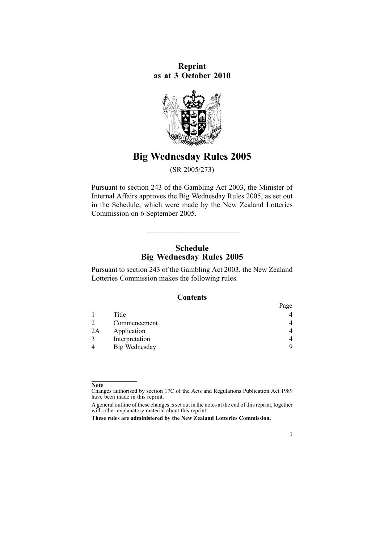**Reprint as at 3 October 2010**



# **Big Wednesday Rules 2005**

(SR 2005/273)

Pursuant to [section](http://www.legislation.govt.nz/pdflink.aspx?id=DLM209744) 243 of the Gambling Act 2003, the Minister of Internal Affairs approves the Big Wednesday Rules 2005, as set out in the Schedule, which were made by the New Zealand Lotteries Commission on 6 September 2005.

## **Schedule Big Wednesday Rules 2005**

 $\overline{\phantom{a}}$  , and the contribution of the contribution of the contribution of the contribution of the contribution of the contribution of the contribution of the contribution of the contribution of the contribution of the

Pursuant to [section](http://www.legislation.govt.nz/pdflink.aspx?id=DLM209744) 243 of the Gambling Act 2003, the New Zealand Lotteries Commission makes the following rules.

## **Contents**

|    |                | Page |
|----|----------------|------|
|    | Title          | 4    |
|    | Commencement   | 4    |
| 2A | Application    | 4    |
|    | Interpretation | 4    |
|    | Big Wednesday  | Q    |

1

**Note**

Changes authorised by [section](http://www.legislation.govt.nz/pdflink.aspx?id=DLM195466) 17C of the Acts and Regulations Publication Act 1989 have been made in this reprint.

A general outline of these changes is set out in the notes at the end of this reprint, together with other explanatory material about this reprint.

**These rules are administered by the New Zealand Lotteries Commission.**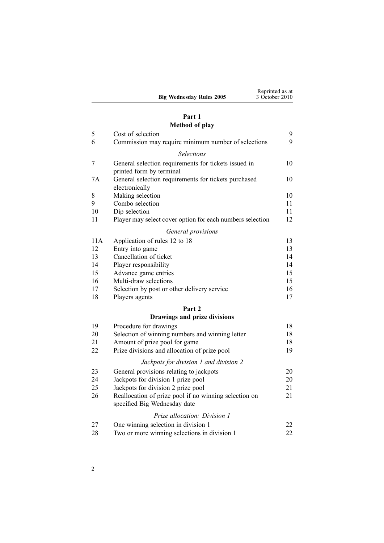|                                 | Reprinted as at |
|---------------------------------|-----------------|
| <b>Big Wednesday Rules 2005</b> | 3 October 2010  |

#### **[Part](#page-8-0) 1 [Method](#page-8-0) of play**

|     | <b>NICHIUM OI PIAY</b>                                                                |    |
|-----|---------------------------------------------------------------------------------------|----|
| 5   | Cost of selection                                                                     | 9  |
| 6   | Commission may require minimum number of selections                                   | 9  |
|     | <b>Selections</b>                                                                     |    |
| 7   | General selection requirements for tickets issued in<br>printed form by terminal      | 10 |
| 7A  | General selection requirements for tickets purchased<br>electronically                | 10 |
| 8   | Making selection                                                                      | 10 |
| 9   | Combo selection                                                                       | 11 |
| 10  | Dip selection                                                                         | 11 |
| 11  | Player may select cover option for each numbers selection                             | 12 |
|     | General provisions                                                                    |    |
| 11A | Application of rules 12 to 18                                                         | 13 |
| 12  | Entry into game                                                                       | 13 |
| 13  | Cancellation of ticket                                                                | 14 |
| 14  | Player responsibility                                                                 | 14 |
| 15  | Advance game entries                                                                  | 15 |
| 16  | Multi-draw selections                                                                 | 15 |
| 17  | Selection by post or other delivery service                                           | 16 |
| 18  | Players agents                                                                        | 17 |
|     | Part 2                                                                                |    |
|     | Drawings and prize divisions                                                          |    |
| 19  | Procedure for drawings                                                                | 18 |
| 20  | Selection of winning numbers and winning letter                                       | 18 |
| 21  | Amount of prize pool for game                                                         | 18 |
| 22  | Prize divisions and allocation of prize pool                                          | 19 |
|     | Jackpots for division 1 and division 2                                                |    |
| 23  | General provisions relating to jackpots                                               | 20 |
| 24  | Jackpots for division 1 prize pool                                                    | 20 |
| 25  | Jackpots for division 2 prize pool                                                    | 21 |
| 26  | Reallocation of prize pool if no winning selection on<br>specified Big Wednesday date | 21 |

#### *Prize [allocation:](#page-21-0) Division 1*

| 27 | One winning selection in division 1          |  |
|----|----------------------------------------------|--|
| 28 | Two or more winning selections in division 1 |  |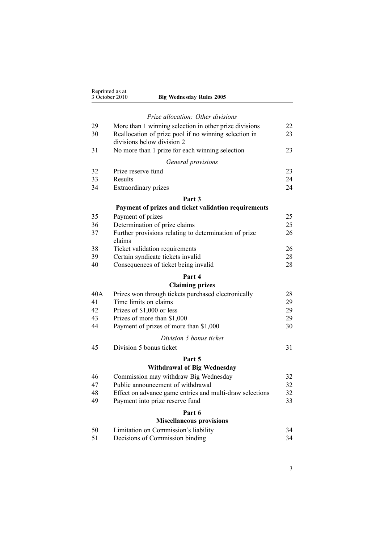|     | Reprinted as at<br>3 October 2010<br><b>Big Wednesday Rules 2005</b>                                                                          |    |
|-----|-----------------------------------------------------------------------------------------------------------------------------------------------|----|
|     | Prize allocation: Other divisions                                                                                                             |    |
| 29  |                                                                                                                                               | 22 |
| 30  | More than 1 winning selection in other prize divisions<br>Reallocation of prize pool if no winning selection in<br>divisions below division 2 | 23 |
| 31  | No more than 1 prize for each winning selection                                                                                               | 23 |
|     | General provisions                                                                                                                            |    |
| 32  | Prize reserve fund                                                                                                                            | 23 |
| 33  | Results                                                                                                                                       | 24 |
| 34  | Extraordinary prizes                                                                                                                          | 24 |
|     | Part 3                                                                                                                                        |    |
|     | Payment of prizes and ticket validation requirements                                                                                          |    |
| 35  | Payment of prizes                                                                                                                             | 25 |
| 36  | Determination of prize claims                                                                                                                 | 25 |
| 37  | Further provisions relating to determination of prize<br>claims                                                                               | 26 |
| 38  | Ticket validation requirements                                                                                                                | 26 |
| 39  | Certain syndicate tickets invalid                                                                                                             | 28 |
| 40  | Consequences of ticket being invalid                                                                                                          | 28 |
|     | Part 4                                                                                                                                        |    |
|     | <b>Claiming prizes</b>                                                                                                                        |    |
| 40A | Prizes won through tickets purchased electronically                                                                                           | 28 |
| 41  | Time limits on claims                                                                                                                         | 29 |
| 42  | Prizes of \$1,000 or less                                                                                                                     | 29 |
| 43  | Prizes of more than \$1,000                                                                                                                   | 29 |
| 44  | Payment of prizes of more than \$1,000                                                                                                        | 30 |
|     | Division 5 bonus ticket                                                                                                                       |    |
| 45  | Division 5 bonus ticket                                                                                                                       | 31 |
|     | Part 5                                                                                                                                        |    |
|     | <b>Withdrawal of Big Wednesday</b>                                                                                                            |    |
| 46  | Commission may withdraw Big Wednesday                                                                                                         | 32 |
| 47  | Public announcement of withdrawal                                                                                                             | 32 |
| 48  | Effect on advance game entries and multi-draw selections                                                                                      | 32 |
| 49  | Payment into prize reserve fund                                                                                                               | 33 |
|     | Part 6                                                                                                                                        |    |
|     | <b>Miscellaneous provisions</b>                                                                                                               |    |
| 50  | Limitation on Commission's liability                                                                                                          | 34 |
| 51  | Decisions of Commission binding                                                                                                               | 34 |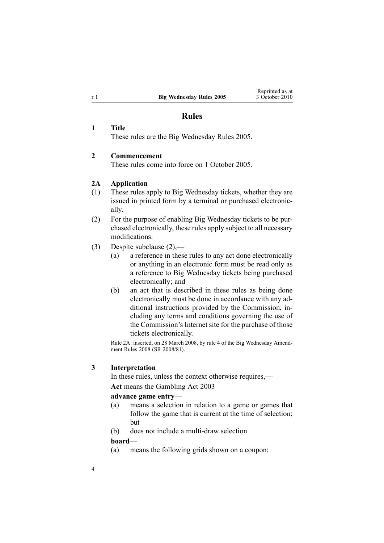## **Rules**

#### **1 Title**

These rules are the Big Wednesday Rules 2005.

### **2 Commencement**

These rules come into force on 1 October 2005.

## **2A Application**

- (1) These rules apply to Big Wednesday tickets, whether they are issued in printed form by <sup>a</sup> terminal or purchased electronically.
- (2) For the purpose of enabling Big Wednesday tickets to be purchased electronically, these rules apply subject to all necessary modifications.
- (3) Despite subclause (2),—
	- (a) <sup>a</sup> reference in these rules to any act done electronically or anything in an electronic form must be read only as <sup>a</sup> reference to Big Wednesday tickets being purchased electronically; and
	- (b) an act that is described in these rules as being done electronically must be done in accordance with any additional instructions provided by the Commission, including any terms and conditions governing the use of the Commission's Internet site for the purchase of those tickets electronically.

Rule 2A: inserted, on 28 March 2008, by [rule](http://www.legislation.govt.nz/pdflink.aspx?id=DLM1221007) 4 of the Big Wednesday Amendment Rules 2008 (SR 2008/81).

#### **3 Interpretation**

In these rules, unless the context otherwise requires,— **Act** means the [Gambling](http://www.legislation.govt.nz/pdflink.aspx?id=DLM207496) Act 2003

#### **advance game entry**—

- (a) means <sup>a</sup> selection in relation to <sup>a</sup> game or games that follow the game that is current at the time of selection; but
- (b) does not include <sup>a</sup> multi-draw selection

#### **board**—

(a) means the following grids shown on <sup>a</sup> coupon:

<span id="page-3-0"></span>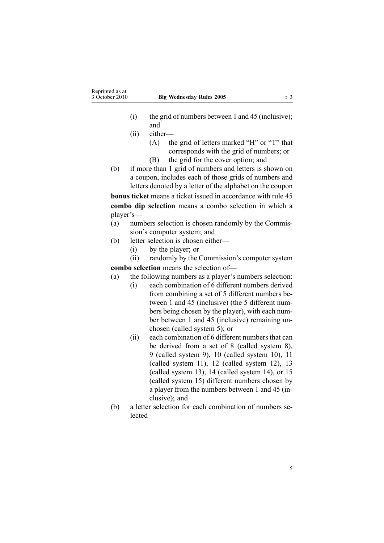- (i) the grid of numbers between 1 and 45 (inclusive); and
- (ii) either—
	- (A) the grid of letters marked "H" or "T" that corresponds with the grid of numbers; or
	- (B) the grid for the cover option; and
- (b) if more than 1 grid of numbers and letters is shown on <sup>a</sup> coupon, includes each of those grids of numbers and letters denoted by <sup>a</sup> letter of the alphabet on the coupon

**bonus ticket** means <sup>a</sup> ticket issued in accordance with [rule](#page-30-0) 45 **combo dip selection** means <sup>a</sup> combo selection in which <sup>a</sup> player's—

- (a) numbers selection is chosen randomly by the Commission's computer system; and
- (b) letter selection is chosen either—
	- (i) by the player; or
- (ii) randomly by the Commission's computer system **combo selection** means the selection of—
- (a) the following numbers as <sup>a</sup> player's numbers selection:
	- (i) each combination of 6 different numbers derived from combining <sup>a</sup> set of 5 different numbers between 1 and 45 (inclusive) (the 5 different numbers being chosen by the player), with each number between 1 and 45 (inclusive) remaining unchosen (called system 5); or
	- (ii) each combination of 6 different numbers that can be derived from <sup>a</sup> set of 8 (called system 8), 9 (called system 9), 10 (called system 10), 11 (called system 11), 12 (called system 12), 13 (called system 13), 14 (called system 14), or 15 (called system 15) different numbers chosen by <sup>a</sup> player from the numbers between 1 and 45 (inclusive); and
- (b) <sup>a</sup> letter selection for each combination of numbers selected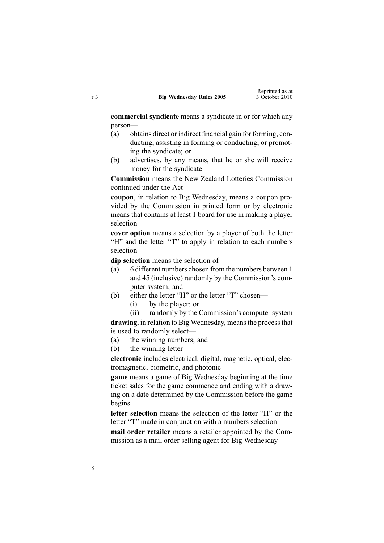**commercial syndicate** means <sup>a</sup> syndicate in or for which any person—

- (a) obtains direct or indirect financial gain for forming, conducting, assisting in forming or conducting, or promoting the syndicate; or
- (b) advertises, by any means, that he or she will receive money for the syndicate

**Commission** means the New Zealand Lotteries Commission continued under the Act

**coupon**, in relation to Big Wednesday, means <sup>a</sup> coupon provided by the Commission in printed form or by electronic means that contains at least 1 board for use in making <sup>a</sup> player selection

**cover option** means a selection by a player of both the letter "H" and the letter "T" to apply in relation to each numbers selection

**dip selection** means the selection of—

- (a) 6 different numbers chosen from the numbers between 1 and 45 (inclusive) randomly by the Commission's computer system; and
- (b) either the letter "H" or the letter "T" chosen—
	- (i) by the player; or

(ii) randomly by the Commission's computer system

drawing, in relation to Big Wednesday, means the process that is used to randomly select—

- (a) the winning numbers; and
- (b) the winning letter

**electronic** includes electrical, digital, magnetic, optical, electromagnetic, biometric, and photonic

**game** means <sup>a</sup> game of Big Wednesday beginning at the time ticket sales for the game commence and ending with <sup>a</sup> drawing on <sup>a</sup> date determined by the Commission before the game begins

**letter selection** means the selection of the letter "H" or the letter "T" made in conjunction with <sup>a</sup> numbers selection

**mail order retailer** means <sup>a</sup> retailer appointed by the Commission as <sup>a</sup> mail order selling agen<sup>t</sup> for Big Wednesday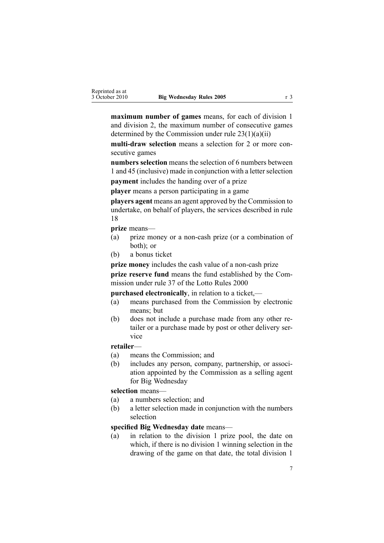**maximum number of games** means, for each of division 1 and division 2, the maximum number of consecutive games determined by the Commission under rule  $23(1)(a)(ii)$ 

**multi-draw selection** means <sup>a</sup> selection for 2 or more consecutive games

**numbers selection** means the selection of 6 numbers between 1 and 45 (inclusive) made in conjunction with a letter selection

**paymen<sup>t</sup>** includes the handing over of <sup>a</sup> prize

**player** means <sup>a</sup> person participating in <sup>a</sup> game

**players agen<sup>t</sup>** means an agen<sup>t</sup> approved by the Commission to undertake, on behalf of players, the services described in rule 18

**prize** means—

- (a) prize money or <sup>a</sup> non-cash prize (or <sup>a</sup> combination of both); or
- (b) <sup>a</sup> bonus ticket

**prize money** includes the cash value of <sup>a</sup> non-cash prize **prize reserve fund** means the fund established by the Commission under [rule](http://www.legislation.govt.nz/pdflink.aspx?id=DLM19765) 37 of the Lotto Rules 2000

**purchased electronically**, in relation to <sup>a</sup> ticket,—

- (a) means purchased from the Commission by electronic means; but
- (b) does not include <sup>a</sup> purchase made from any other retailer or <sup>a</sup> purchase made by pos<sup>t</sup> or other delivery service

#### **retailer**—

- (a) means the Commission; and
- (b) includes any person, company, partnership, or association appointed by the Commission as <sup>a</sup> selling agen<sup>t</sup> for Big Wednesday

## **selection** means—

- (a) <sup>a</sup> numbers selection; and
- (b) <sup>a</sup> letter selection made in conjunction with the numbers selection

### **specified Big Wednesday date** means—

(a) in relation to the division 1 prize pool, the date on which, if there is no division 1 winning selection in the drawing of the game on that date, the total division 1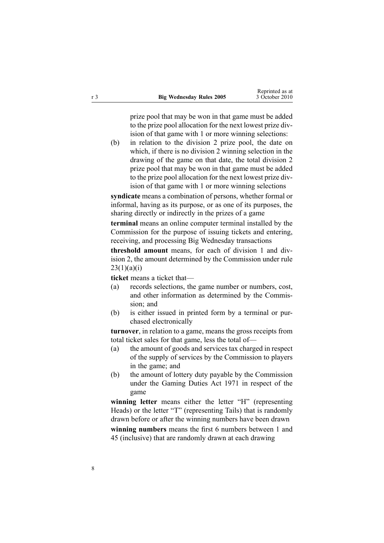prize pool that may be won in that game must be added to the prize pool allocation for the next lowest prize division of that game with 1 or more winning selections:

(b) in relation to the division 2 prize pool, the date on which, if there is no division 2 winning selection in the drawing of the game on that date, the total division 2 prize pool that may be won in that game must be added to the prize pool allocation for the next lowest prize division of that game with 1 or more winning selections

**syndicate** means <sup>a</sup> combination of persons, whether formal or informal, having as its purpose, or as one of its purposes, the sharing directly or indirectly in the prizes of <sup>a</sup> game

**terminal** means an online computer terminal installed by the Commission for the purpose of issuing tickets and entering, receiving, and processing Big Wednesday transactions

**threshold amount** means, for each of division 1 and division 2, the amount determined by the Commission under [rule](#page-19-0)  $23(1)(a)(i)$ 

**ticket** means <sup>a</sup> ticket that—

- (a) records selections, the game number or numbers, cost, and other information as determined by the Commission; and
- (b) is either issued in printed form by <sup>a</sup> terminal or purchased electronically

**turnover**, in relation to <sup>a</sup> game, means the gross receipts from total ticket sales for that game, less the total of—

- (a) the amount of goods and services tax charged in respec<sup>t</sup> of the supply of services by the Commission to players in the game; and
- (b) the amount of lottery duty payable by the Commission under the [Gaming](http://www.legislation.govt.nz/pdflink.aspx?id=DLM398477) Duties Act 1971 in respec<sup>t</sup> of the game

**winning letter** means either the letter "H" (representing Heads) or the letter "T" (representing Tails) that is randomly drawn before or after the winning numbers have been drawn

**winning numbers** means the first 6 numbers between 1 and 45 (inclusive) that are randomly drawn at each drawing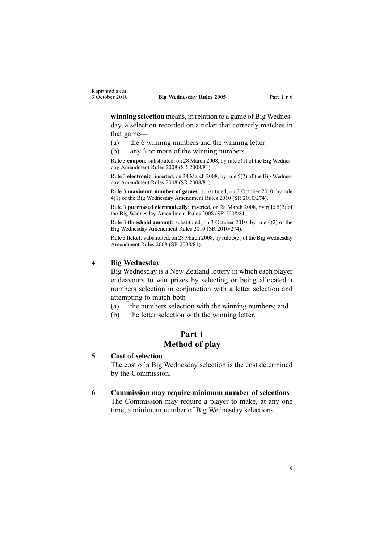<span id="page-8-0"></span>**winning selection** means, in relation to <sup>a</sup> game of Big Wednesday, <sup>a</sup> selection recorded on <sup>a</sup> ticket that correctly matches in that game—

- (a) the 6 winning numbers and the winning letter:
- (b) any 3 or more of the winning numbers.

Rule 3 **coupon**: substituted, on 28 March 2008, by rule [5\(1\)](http://www.legislation.govt.nz/pdflink.aspx?id=DLM1221009) of the Big Wednesday Amendment Rules 2008 (SR 2008/81).

Rule 3 **electronic**: inserted, on 28 March 2008, by rule [5\(2\)](http://www.legislation.govt.nz/pdflink.aspx?id=DLM1221009) of the Big Wednesday Amendment Rules 2008 (SR 2008/81).

Rule 3 **maximum number of games**: substituted, on 3 October 2010, by [rule](http://www.legislation.govt.nz/pdflink.aspx?id=DLM3166107) [4\(1\)](http://www.legislation.govt.nz/pdflink.aspx?id=DLM3166107) of the Big Wednesday Amendment Rules 2010 (SR 2010/274).

Rule 3 **purchased electronically**: inserted, on 28 March 2008, by rule [5\(2\)](http://www.legislation.govt.nz/pdflink.aspx?id=DLM1221009) of the Big Wednesday Amendment Rules 2008 (SR 2008/81).

Rule 3 **threshold amount**: substituted, on 3 October 2010, by rule [4\(2\)](http://www.legislation.govt.nz/pdflink.aspx?id=DLM3166107) of the Big Wednesday Amendment Rules 2010 (SR 2010/274).

Rule 3 **ticket**: substituted, on 28 March 2008, by rule [5\(3\)](http://www.legislation.govt.nz/pdflink.aspx?id=DLM1221009) of the Big Wednesday Amendment Rules 2008 (SR 2008/81).

#### **4 Big Wednesday**

Big Wednesday is <sup>a</sup> New Zealand lottery in which each player endeavours to win prizes by selecting or being allocated <sup>a</sup> numbers selection in conjunction with <sup>a</sup> letter selection and attempting to match both—

- (a) the numbers selection with the winning numbers; and
- (b) the letter selection with the winning letter.

## **Part 1 Method of play**

#### **5 Cost of selection**

The cost of <sup>a</sup> Big Wednesday selection is the cost determined by the Commission.

#### **6 Commission may require minimum number of selections**

The Commission may require <sup>a</sup> player to make, at any one time, <sup>a</sup> minimum number of Big Wednesday selections.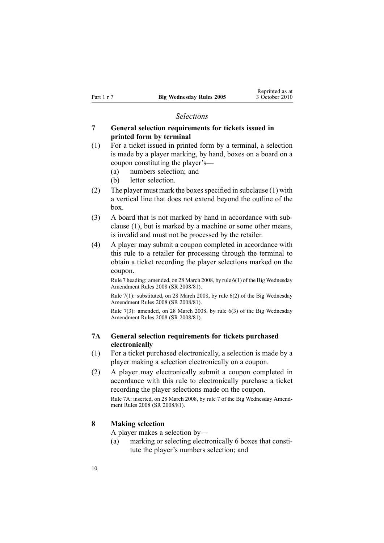#### *Selections*

## <span id="page-9-0"></span>**7 General selection requirements for tickets issued in printed form by terminal**

- (1) For <sup>a</sup> ticket issued in printed form by <sup>a</sup> terminal, <sup>a</sup> selection is made by <sup>a</sup> player marking, by hand, boxes on <sup>a</sup> board on <sup>a</sup> coupon constituting the player's—
	- (a) numbers selection; and
	- (b) letter selection.
- (2) The player must mark the boxes specified in subclause  $(1)$  with <sup>a</sup> vertical line that does not extend beyond the outline of the box.
- (3) A board that is not marked by hand in accordance with subclause (1), but is marked by <sup>a</sup> machine or some other means, is invalid and must not be processed by the retailer.
- (4) A player may submit <sup>a</sup> coupon completed in accordance with this rule to <sup>a</sup> retailer for processing through the terminal to obtain <sup>a</sup> ticket recording the player selections marked on the coupon.

Rule 7 heading: amended, on 28 March 2008, by rule [6\(1\)](http://www.legislation.govt.nz/pdflink.aspx?id=DLM1221020) of the Big Wednesday Amendment Rules 2008 (SR 2008/81).

Rule 7(1): substituted, on 28 March 2008, by rule [6\(2\)](http://www.legislation.govt.nz/pdflink.aspx?id=DLM1221020) of the Big Wednesday Amendment Rules 2008 (SR 2008/81).

Rule 7(3): amended, on 28 March 2008, by rule [6\(3\)](http://www.legislation.govt.nz/pdflink.aspx?id=DLM1221020) of the Big Wednesday Amendment Rules 2008 (SR 2008/81).

## **7A General selection requirements for tickets purchased electronically**

- (1) For <sup>a</sup> ticket purchased electronically, <sup>a</sup> selection is made by <sup>a</sup> player making <sup>a</sup> selection electronically on <sup>a</sup> coupon.
- (2) A player may electronically submit <sup>a</sup> coupon completed in accordance with this rule to electronically purchase <sup>a</sup> ticket recording the player selections made on the coupon.

Rule 7A: inserted, on 28 March 2008, by [rule](http://www.legislation.govt.nz/pdflink.aspx?id=DLM1221021) 7 of the Big Wednesday Amendment Rules 2008 (SR 2008/81).

#### **8 Making selection**

A player makes <sup>a</sup> selection by—

(a) marking or selecting electronically 6 boxes that constitute the player's numbers selection; and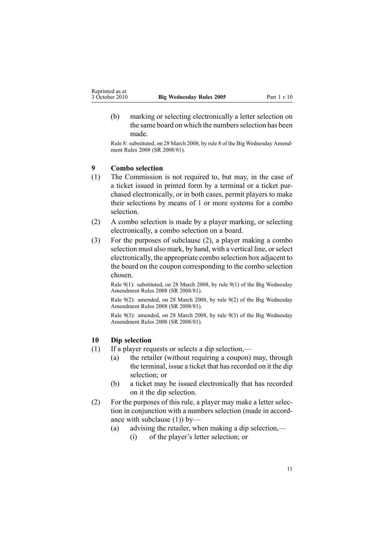<span id="page-10-0"></span>(b) marking or selecting electronically <sup>a</sup> letter selection on the same board on which the numbers selection has been made.

Rule 8: substituted, on 28 March 2008, by [rule](http://www.legislation.govt.nz/pdflink.aspx?id=DLM1221023) 8 of the Big Wednesday Amendment Rules 2008 (SR 2008/81).

## **9 Combo selection**

- (1) The Commission is not required to, but may, in the case of <sup>a</sup> ticket issued in printed form by <sup>a</sup> terminal or <sup>a</sup> ticket purchased electronically, or in both cases, permit players to make their selections by means of 1 or more systems for <sup>a</sup> combo selection.
- (2) A combo selection is made by <sup>a</sup> player marking, or selecting electronically, <sup>a</sup> combo selection on <sup>a</sup> board.
- (3) For the purposes of subclause (2), <sup>a</sup> player making <sup>a</sup> combo selection must also mark, by hand, with <sup>a</sup> vertical line, orselect electronically, the appropriate combo selection box adjacent to the board on the coupon corresponding to the combo selection chosen.

Rule 9(1): substituted, on 28 March 2008, by rule [9\(1\)](http://www.legislation.govt.nz/pdflink.aspx?id=DLM1221025) of the Big Wednesday Amendment Rules 2008 (SR 2008/81).

Rule 9(2): amended, on 28 March 2008, by rule [9\(2\)](http://www.legislation.govt.nz/pdflink.aspx?id=DLM1221025) of the Big Wednesday Amendment Rules 2008 (SR 2008/81).

Rule 9(3): amended, on 28 March 2008, by rule [9\(3\)](http://www.legislation.govt.nz/pdflink.aspx?id=DLM1221025) of the Big Wednesday Amendment Rules 2008 (SR 2008/81).

#### **10 Dip selection**

- (1) If <sup>a</sup> player requests or selects <sup>a</sup> dip selection,—
	- (a) the retailer (without requiring <sup>a</sup> coupon) may, through the terminal, issue a ticket that has recorded on it the dip selection; or
	- (b) <sup>a</sup> ticket may be issued electronically that has recorded on it the dip selection.
- (2) For the purposes of this rule, <sup>a</sup> player may make <sup>a</sup> letter selection in conjunction with <sup>a</sup> numbers selection (made in accordance with subclause (1)) by—
	- (a) advising the retailer, when making <sup>a</sup> dip selection,— (i) of the player's letter selection; or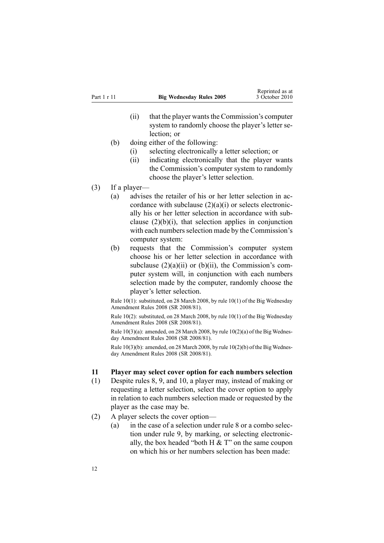- <span id="page-11-0"></span> $(ii)$  that the player wants the Commission's computer system to randomly choose the player's letter selection; or
- (b) doing either of the following:
	- (i) selecting electronically <sup>a</sup> letter selection; or
	- (ii) indicating electronically that the player wants the Commission's computer system to randomly choose the player's letter selection.
- (3) If <sup>a</sup> player—
	- (a) advises the retailer of his or her letter selection in accordance with subclause  $(2)(a)(i)$  or selects electronically his or her letter selection in accordance with subclause  $(2)(b)(i)$ , that selection applies in conjunction with each numbers selection made by the Commission's computer system:
	- (b) requests that the Commission's computer system choose his or her letter selection in accordance with subclause  $(2)(a)(ii)$  or  $(b)(ii)$ , the Commission's computer system will, in conjunction with each numbers selection made by the computer, randomly choose the player's letter selection.

Rule 10(1): substituted, on 28 March 2008, by rule [10\(1\)](http://www.legislation.govt.nz/pdflink.aspx?id=DLM1221026) of the Big Wednesday Amendment Rules 2008 (SR 2008/81).

Rule 10(2): substituted, on 28 March 2008, by rule [10\(1\)](http://www.legislation.govt.nz/pdflink.aspx?id=DLM1221026) of the Big Wednesday Amendment Rules 2008 (SR 2008/81).

Rule  $10(3)(a)$ : amended, on 28 March 2008, by rule  $10(2)(a)$  of the Big Wednesday Amendment Rules 2008 (SR 2008/81).

Rule  $10(3)(b)$ : amended, on 28 March 2008, by rule  $10(2)(b)$  of the Big Wednesday Amendment Rules 2008 (SR 2008/81).

## **11 Player may select cover option for each numbers selection**

- (1) Despite [rules](#page-9-0) 8, [9](#page-10-0), and [10](#page-10-0), <sup>a</sup> player may, instead of making or requesting <sup>a</sup> letter selection, select the cover option to apply in relation to each numbers selection made or requested by the player as the case may be.
- (2) A player selects the cover option—
	- (a) in the case of <sup>a</sup> selection under [rule](#page-9-0) 8 or <sup>a</sup> combo selection under [rule](#page-10-0) 9, by marking, or selecting electronically, the box headed "both  $H \& T$ " on the same coupon on which his or her numbers selection has been made: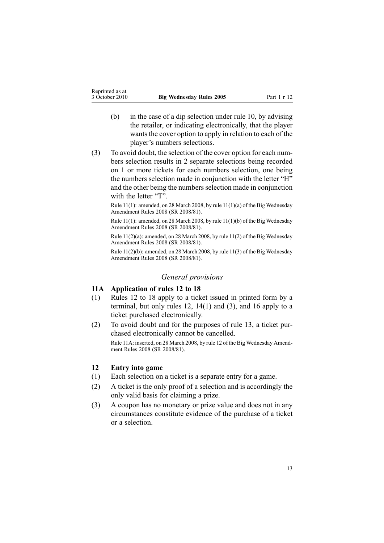- <span id="page-12-0"></span>(b) in the case of <sup>a</sup> dip selection under [rule](#page-10-0) 10, by advising the retailer, or indicating electronically, that the player wants the cover option to apply in relation to each of the player's numbers selections.
- (3) To avoid doubt, the selection of the cover option for each numbers selection results in 2 separate selections being recorded on 1 or more tickets for each numbers selection, one being the numbers selection made in conjunction with the letter "H" and the other being the numbers selection made in conjunction with the letter "T".

Rule 11(1): amended, on 28 March 2008, by rule [11\(1\)\(a\)](http://www.legislation.govt.nz/pdflink.aspx?id=DLM1221027) of the Big Wednesday Amendment Rules 2008 (SR 2008/81).

Rule 11(1): amended, on 28 March 2008, by rule [11\(1\)\(b\)](http://www.legislation.govt.nz/pdflink.aspx?id=DLM1221027) of the Big Wednesday Amendment Rules 2008 (SR 2008/81).

Rule 11(2)(a): amended, on 28 March 2008, by rule [11\(2\)](http://www.legislation.govt.nz/pdflink.aspx?id=DLM1221027) of the Big Wednesday Amendment Rules 2008 (SR 2008/81).

Rule 11(2)(b): amended, on 28 March 2008, by rule [11\(3\)](http://www.legislation.govt.nz/pdflink.aspx?id=DLM1221027) of the Big Wednesday Amendment Rules 2008 (SR 2008/81).

#### *General provisions*

## **11A Application of rules 12 to 18**

- (1) Rules 12 to 18 apply to <sup>a</sup> ticket issued in printed form by <sup>a</sup> terminal, but only rules 12, [14\(1\)](#page-13-0) and (3), and [16](#page-14-0) apply to <sup>a</sup> ticket purchased electronically.
- (2) To avoid doubt and for the purposes of [rule](#page-13-0) 13, <sup>a</sup> ticket purchased electronically cannot be cancelled. Rule 11A: inserted, on 28 March 2008, by [rule](http://www.legislation.govt.nz/pdflink.aspx?id=DLM1221028) 12 of the Big Wednesday Amendment Rules 2008 (SR 2008/81).

#### **12 Entry into game**

- (1) Each selection on <sup>a</sup> ticket is <sup>a</sup> separate entry for <sup>a</sup> game.
- (2) A ticket is the only proof of <sup>a</sup> selection and is accordingly the only valid basis for claiming <sup>a</sup> prize.
- (3) A coupon has no monetary or prize value and does not in any circumstances constitute evidence of the purchase of <sup>a</sup> ticket or <sup>a</sup> selection.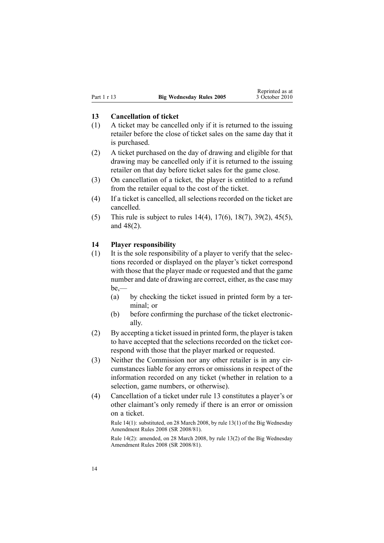### <span id="page-13-0"></span>**13 Cancellation of ticket**

- (1) A ticket may be cancelled only if it is returned to the issuing retailer before the close of ticket sales on the same day that it is purchased.
- (2) A ticket purchased on the day of drawing and eligible for that drawing may be cancelled only if it is returned to the issuing retailer on that day before ticket sales for the game close.
- (3) On cancellation of <sup>a</sup> ticket, the player is entitled to <sup>a</sup> refund from the retailer equal to the cost of the ticket.
- (4) If <sup>a</sup> ticket is cancelled, all selections recorded on the ticket are cancelled.
- (5) This rule is subject to rules 14(4), [17\(6\)](#page-15-0), [18\(7\)](#page-16-0), [39\(2\)](#page-27-0), [45\(5\)](#page-30-0), and [48\(2\)](#page-31-0).

#### **14 Player responsibility**

- (1) It is the sole responsibility of <sup>a</sup> player to verify that the selections recorded or displayed on the player's ticket correspond with those that the player made or requested and that the game number and date of drawing are correct, either, as the case may be,—
	- (a) by checking the ticket issued in printed form by <sup>a</sup> terminal; or
	- (b) before confirming the purchase of the ticket electronically.
- (2) By accepting <sup>a</sup> ticket issued in printed form, the player istaken to have accepted that the selections recorded on the ticket correspond with those that the player marked or requested.
- (3) Neither the Commission nor any other retailer is in any circumstances liable for any errors or omissions in respec<sup>t</sup> of the information recorded on any ticket (whether in relation to <sup>a</sup> selection, game numbers, or otherwise).
- (4) Cancellation of <sup>a</sup> ticket under rule 13 constitutes <sup>a</sup> player's or other claimant's only remedy if there is an error or omission on <sup>a</sup> ticket.

Rule 14(1): substituted, on 28 March 2008, by rule [13\(1\)](http://www.legislation.govt.nz/pdflink.aspx?id=DLM1221030) of the Big Wednesday Amendment Rules 2008 (SR 2008/81).

Rule 14(2): amended, on 28 March 2008, by rule [13\(2\)](http://www.legislation.govt.nz/pdflink.aspx?id=DLM1221030) of the Big Wednesday Amendment Rules 2008 (SR 2008/81).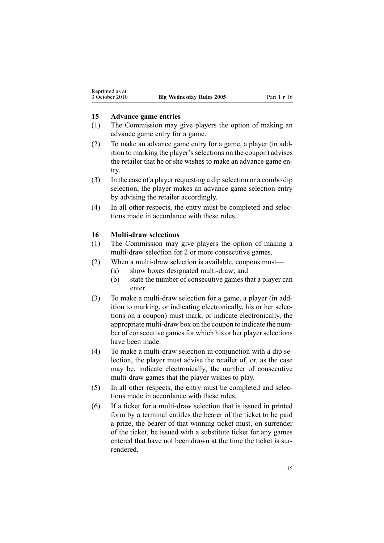#### <span id="page-14-0"></span>**15 Advance game entries**

- (1) The Commission may give players the option of making an advance game entry for <sup>a</sup> game.
- (2) To make an advance game entry for <sup>a</sup> game, <sup>a</sup> player (in addition to marking the player's selections on the coupon) advises the retailer that he or she wishes to make an advance game entry.
- (3) In the case of <sup>a</sup> player requesting <sup>a</sup> dip selection or <sup>a</sup> combo dip selection, the player makes an advance game selection entry by advising the retailer accordingly.
- (4) In all other respects, the entry must be completed and selections made in accordance with these rules.

#### **16 Multi-draw selections**

- (1) The Commission may give players the option of making <sup>a</sup> multi-draw selection for 2 or more consecutive games.
- (2) When <sup>a</sup> multi-draw selection is available, coupons must—
	- (a) show boxes designated multi-draw; and
	- (b) state the number of consecutive games that <sup>a</sup> player can enter.
- (3) To make <sup>a</sup> multi-draw selection for <sup>a</sup> game, <sup>a</sup> player (in addition to marking, or indicating electronically, his or her selections on <sup>a</sup> coupon) must mark, or indicate electronically, the appropriate multi-draw box on the coupon to indicate the number of consecutive games for which his or her player selections have been made.
- (4) To make <sup>a</sup> multi-draw selection in conjunction with <sup>a</sup> dip selection, the player must advise the retailer of, or, as the case may be, indicate electronically, the number of consecutive multi-draw games that the player wishes to play.
- (5) In all other respects, the entry must be completed and selections made in accordance with these rules.
- (6) If <sup>a</sup> ticket for <sup>a</sup> multi-draw selection that is issued in printed form by <sup>a</sup> terminal entitles the bearer of the ticket to be paid <sup>a</sup> prize, the bearer of that winning ticket must, on surrender of the ticket, be issued with <sup>a</sup> substitute ticket for any games entered that have not been drawn at the time the ticket is surrendered.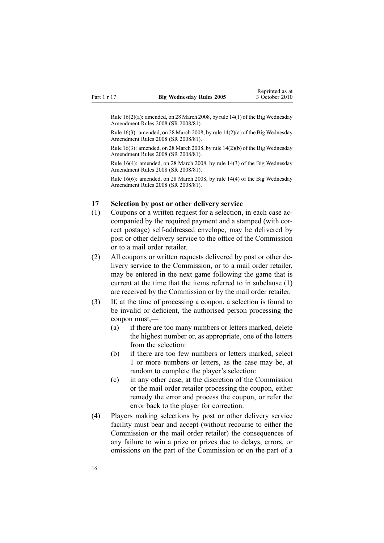<span id="page-15-0"></span>Rule  $16(2)(a)$ : amended, on 28 March 2008, by rule  $14(1)$  of the Big Wednesday Amendment Rules 2008 (SR 2008/81).

Rule 16(3): amended, on 28 March 2008, by rule [14\(2\)\(a\)](http://www.legislation.govt.nz/pdflink.aspx?id=DLM1221031) of the Big Wednesday Amendment Rules 2008 (SR 2008/81).

Rule 16(3): amended, on 28 March 2008, by rule [14\(2\)\(b\)](http://www.legislation.govt.nz/pdflink.aspx?id=DLM1221031) of the Big Wednesday Amendment Rules 2008 (SR 2008/81).

Rule 16(4): amended, on 28 March 2008, by rule [14\(3\)](http://www.legislation.govt.nz/pdflink.aspx?id=DLM1221031) of the Big Wednesday Amendment Rules 2008 (SR 2008/81).

Rule 16(6): amended, on 28 March 2008, by rule [14\(4\)](http://www.legislation.govt.nz/pdflink.aspx?id=DLM1221031) of the Big Wednesday Amendment Rules 2008 (SR 2008/81).

#### **17 Selection by post or other delivery service**

- (1) Coupons or <sup>a</sup> written reques<sup>t</sup> for <sup>a</sup> selection, in each case accompanied by the required paymen<sup>t</sup> and <sup>a</sup> stamped (with correct postage) self-addressed envelope, may be delivered by pos<sup>t</sup> or other delivery service to the office of the Commission or to <sup>a</sup> mail order retailer.
- (2) All coupons or written requests delivered by pos<sup>t</sup> or other delivery service to the Commission, or to <sup>a</sup> mail order retailer, may be entered in the next game following the game that is current at the time that the items referred to in subclause (1) are received by the Commission or by the mail order retailer.
- (3) If, at the time of processing <sup>a</sup> coupon, <sup>a</sup> selection is found to be invalid or deficient, the authorised person processing the coupon must,—
	- (a) if there are too many numbers or letters marked, delete the highest number or, as appropriate, one of the letters from the selection:
	- (b) if there are too few numbers or letters marked, select 1 or more numbers or letters, as the case may be, at random to complete the player's selection:
	- (c) in any other case, at the discretion of the Commission or the mail order retailer processing the coupon, either remedy the error and process the coupon, or refer the error back to the player for correction.
- (4) Players making selections by pos<sup>t</sup> or other delivery service facility must bear and accep<sup>t</sup> (without recourse to either the Commission or the mail order retailer) the consequences of any failure to win <sup>a</sup> prize or prizes due to delays, errors, or omissions on the par<sup>t</sup> of the Commission or on the par<sup>t</sup> of <sup>a</sup>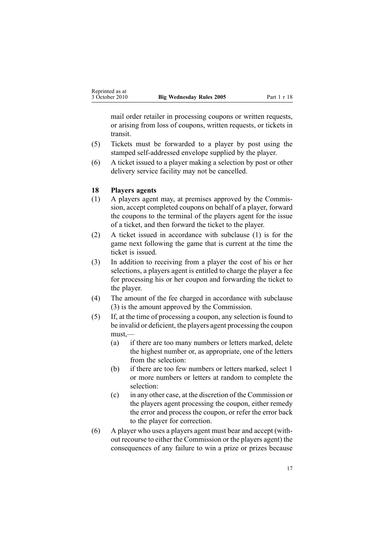<span id="page-16-0"></span>mail order retailer in processing coupons or written requests, or arising from loss of coupons, written requests, or tickets in transit.

- (5) Tickets must be forwarded to <sup>a</sup> player by pos<sup>t</sup> using the stamped self-addressed envelope supplied by the player.
- (6) A ticket issued to <sup>a</sup> player making <sup>a</sup> selection by pos<sup>t</sup> or other delivery service facility may not be cancelled.

### **18 Players agents**

- (1) A players agen<sup>t</sup> may, at premises approved by the Commission, accep<sup>t</sup> completed coupons on behalf of <sup>a</sup> player, forward the coupons to the terminal of the players agen<sup>t</sup> for the issue of <sup>a</sup> ticket, and then forward the ticket to the player.
- (2) A ticket issued in accordance with subclause (1) is for the game next following the game that is current at the time the ticket is issued.
- (3) In addition to receiving from <sup>a</sup> player the cost of his or her selections, <sup>a</sup> players agen<sup>t</sup> is entitled to charge the player <sup>a</sup> fee for processing his or her coupon and forwarding the ticket to the player.
- (4) The amount of the fee charged in accordance with subclause (3) is the amount approved by the Commission.
- (5) If, at the time of processing <sup>a</sup> coupon, any selection is found to be invalid or deficient, the players agen<sup>t</sup> processing the coupon must,—
	- (a) if there are too many numbers or letters marked, delete the highest number or, as appropriate, one of the letters from the selection:
	- (b) if there are too few numbers or letters marked, select 1 or more numbers or letters at random to complete the selection:
	- (c) in any other case, at the discretion of the Commission or the players agen<sup>t</sup> processing the coupon, either remedy the error and process the coupon, or refer the error back to the player for correction.
- (6) A player who uses <sup>a</sup> players agen<sup>t</sup> must bear and accep<sup>t</sup> (without recourse to either the Commission or the players agent) the consequences of any failure to win <sup>a</sup> prize or prizes because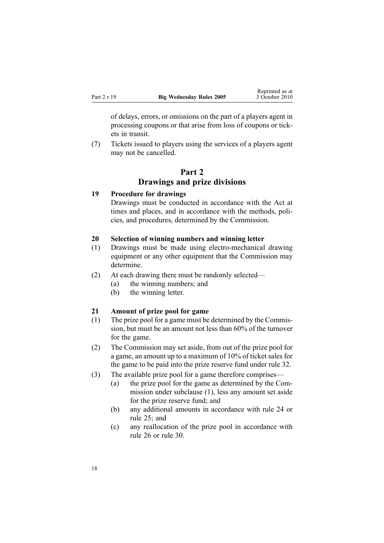<span id="page-17-0"></span>of delays, errors, or omissions on the par<sup>t</sup> of <sup>a</sup> players agen<sup>t</sup> in processing coupons or that arise from loss of coupons or tickets in transit.

(7) Tickets issued to players using the services of <sup>a</sup> players agen<sup>t</sup> may not be cancelled.

## **Part 2 Drawings and prize divisions**

#### **19 Procedure for drawings**

Drawings must be conducted in accordance with the Act at times and places, and in accordance with the methods, policies, and procedures, determined by the Commission.

## **20 Selection of winning numbers and winning letter**

- (1) Drawings must be made using electro-mechanical drawing equipment or any other equipment that the Commission may determine.
- (2) At each drawing there must be randomly selected—
	- (a) the winning numbers; and
	- (b) the winning letter.

### **21 Amount of prize pool for game**

- (1) The prize pool for <sup>a</sup> game must be determined by the Commission, but must be an amount not less than 60% of the turnover for the game.
- (2) The Commission may set aside, from out of the prize pool for <sup>a</sup> game, an amount up to <sup>a</sup> maximum of 10% of ticket sales for the game to be paid into the prize reserve fund under [rule](#page-22-0) 32.
- (3) The available prize pool for <sup>a</sup> game therefore comprises—
	- (a) the prize pool for the game as determined by the Commission under subclause (1), less any amount set aside for the prize reserve fund; and
	- (b) any additional amounts in accordance with [rule](#page-19-0) 24 or [rule](#page-20-0) 25; and
	- (c) any reallocation of the prize pool in accordance with [rule](#page-20-0) 26 or [rule](#page-22-0) 30.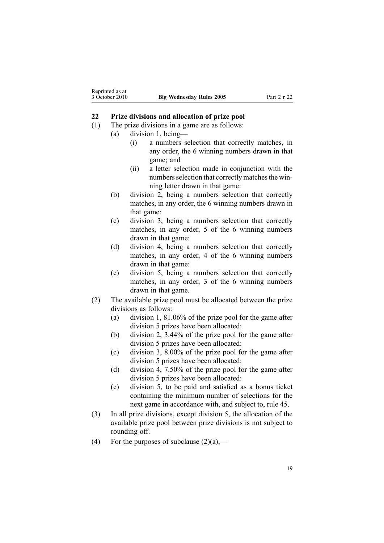## <span id="page-18-0"></span>**22 Prize divisions and allocation of prize pool**

- (1) The prize divisions in <sup>a</sup> game are as follows:
	- (a) division 1, being—
		- (i) <sup>a</sup> numbers selection that correctly matches, in any order, the 6 winning numbers drawn in that game; and
		- (ii) <sup>a</sup> letter selection made in conjunction with the numbers selection that correctly matches the winning letter drawn in that game:
	- (b) division 2, being <sup>a</sup> numbers selection that correctly matches, in any order, the 6 winning numbers drawn in that game:
	- (c) division 3, being <sup>a</sup> numbers selection that correctly matches, in any order, 5 of the 6 winning numbers drawn in that game:
	- (d) division 4, being <sup>a</sup> numbers selection that correctly matches, in any order, 4 of the 6 winning numbers drawn in that game:
	- (e) division 5, being <sup>a</sup> numbers selection that correctly matches, in any order, 3 of the 6 winning numbers drawn in that game.
- (2) The available prize pool must be allocated between the prize divisions as follows:
	- (a) division 1, 81.06% of the prize pool for the game after division 5 prizes have been allocated:
	- (b) division 2, 3.44% of the prize pool for the game after division 5 prizes have been allocated:
	- (c) division 3, 8.00% of the prize pool for the game after division 5 prizes have been allocated:
	- (d) division 4, 7.50% of the prize pool for the game after division 5 prizes have been allocated:
	- (e) division 5, to be paid and satisfied as <sup>a</sup> bonus ticket containing the minimum number of selections for the next game in accordance with, and subject to, [rule](#page-30-0) 45.
- (3) In all prize divisions, excep<sup>t</sup> division 5, the allocation of the available prize pool between prize divisions is not subject to rounding off.
- (4) For the purposes of subclause  $(2)(a)$ ,—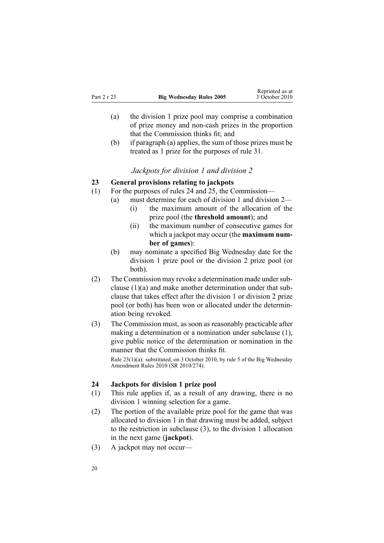<span id="page-19-0"></span>

| Part 2 r 23 | <b>Big Wednesday Rules 2005</b> | would as a<br>3 October 2010 |
|-------------|---------------------------------|------------------------------|
|             |                                 |                              |

(a) the division 1 prize pool may comprise <sup>a</sup> combination of prize money and non-cash prizes in the proportion that the Commission thinks fit; and

Reprinted as at

(b) if paragraph (a) applies, the sum of those prizes must be treated as 1 prize for the purposes of [rule](#page-22-0) 31.

## *Jackpots for division 1 and division 2*

## **23 General provisions relating to jackpots**

- (1) For the purposes of rules 24 and [25](#page-20-0), the Commission—
	- (a) must determine for each of division 1 and division 2— (i) the maximum amount of the allocation of the
		- prize pool (the **threshold amount**); and
		- (ii) the maximum number of consecutive games for which <sup>a</sup> jackpot may occur (the **maximum number of games**):
	- (b) may nominate <sup>a</sup> specified Big Wednesday date for the division 1 prize pool or the division 2 prize pool (or both).
- (2) The Commission may revoke a determination made under subclause (1)(a) and make another determination under that subclause that takes effect after the division 1 or division 2 prize pool (or both) has been won or allocated under the determination being revoked.
- (3) The Commission must, as soon as reasonably practicable after making <sup>a</sup> determination or <sup>a</sup> nomination under subclause (1), give public notice of the determination or nomination in the manner that the Commission thinks fit. Rule 23(1)(a): substituted, on 3 October 2010, by [rule](http://www.legislation.govt.nz/pdflink.aspx?id=DLM3166114) 5 of the Big Wednesday

Amendment Rules 2010 (SR 2010/274).

## **24 Jackpots for division 1 prize pool**

- (1) This rule applies if, as <sup>a</sup> result of any drawing, there is no division 1 winning selection for <sup>a</sup> game.
- (2) The portion of the available prize pool for the game that was allocated to division 1 in that drawing must be added, subject to the restriction in subclause (3), to the division 1 allocation in the next game (**jackpot**).
- (3) A jackpot may not occur—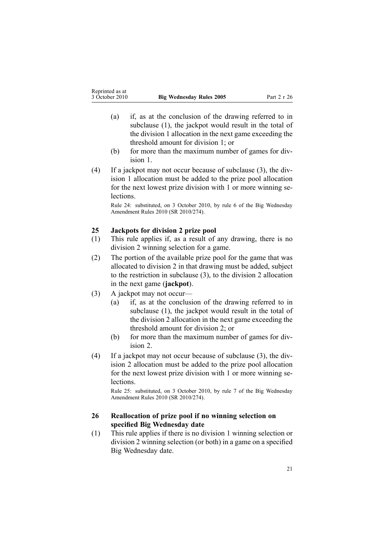- <span id="page-20-0"></span>(a) if, as at the conclusion of the drawing referred to in subclause (1), the jackpot would result in the total of the division 1 allocation in the next game exceeding the threshold amount for division 1; or
- (b) for more than the maximum number of games for division 1.
- (4) If <sup>a</sup> jackpot may not occur because of subclause (3), the division 1 allocation must be added to the prize pool allocation for the next lowest prize division with 1 or more winning se**lections**

Rule 24: substituted, on 3 October 2010, by [rule](http://www.legislation.govt.nz/pdflink.aspx?id=DLM3166115) 6 of the Big Wednesday Amendment Rules 2010 (SR 2010/274).

## **25 Jackpots for division 2 prize pool**

- (1) This rule applies if, as <sup>a</sup> result of any drawing, there is no division 2 winning selection for <sup>a</sup> game.
- (2) The portion of the available prize pool for the game that was allocated to division 2 in that drawing must be added, subject to the restriction in subclause (3), to the division 2 allocation in the next game (**jackpot**).
- (3) A jackpot may not occur—
	- (a) if, as at the conclusion of the drawing referred to in subclause (1), the jackpot would result in the total of the division 2 allocation in the next game exceeding the threshold amount for division 2; or
	- (b) for more than the maximum number of games for division 2.
- (4) If <sup>a</sup> jackpot may not occur because of subclause (3), the division 2 allocation must be added to the prize pool allocation for the next lowest prize division with 1 or more winning se**lections**

Rule 25: substituted, on 3 October 2010, by [rule](http://www.legislation.govt.nz/pdflink.aspx?id=DLM3166117) 7 of the Big Wednesday Amendment Rules 2010 (SR 2010/274).

## **26 Reallocation of prize pool if no winning selection on specified Big Wednesday date**

(1) This rule applies if there is no division 1 winning selection or division 2 winning selection (or both) in <sup>a</sup> game on <sup>a</sup> specified Big Wednesday date.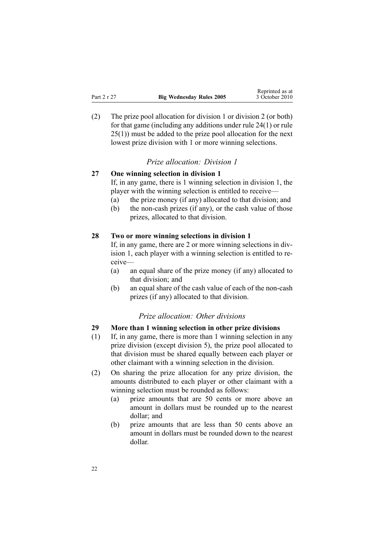<span id="page-21-0"></span>

| wephinted as at<br>3 October 2010 |  |
|-----------------------------------|--|
|                                   |  |

Reprinted as at

(2) The prize pool allocation for division 1 or division 2 (or both) for that game (including any additions under rule [24\(1\)](#page-19-0) or [rule](#page-20-0) [25\(1\)\)](#page-20-0) must be added to the prize pool allocation for the next lowest prize division with 1 or more winning selections.

## *Prize allocation: Division 1*

## **27 One winning selection in division 1**

If, in any game, there is 1 winning selection in division 1, the player with the winning selection is entitled to receive—

- (a) the prize money (if any) allocated to that division; and
- (b) the non-cash prizes (if any), or the cash value of those prizes, allocated to that division.

#### **28 Two or more winning selections in division 1**

If, in any game, there are 2 or more winning selections in division 1, each player with <sup>a</sup> winning selection is entitled to receive—

- (a) an equal share of the prize money (if any) allocated to that division; and
- (b) an equal share of the cash value of each of the non-cash prizes (if any) allocated to that division.

## *Prize allocation: Other divisions*

### **29 More than 1 winning selection in other prize divisions**

- (1) If, in any game, there is more than 1 winning selection in any prize division (except division 5), the prize pool allocated to that division must be shared equally between each player or other claimant with <sup>a</sup> winning selection in the division.
- (2) On sharing the prize allocation for any prize division, the amounts distributed to each player or other claimant with <sup>a</sup> winning selection must be rounded as follows:
	- (a) prize amounts that are 50 cents or more above an amount in dollars must be rounded up to the nearest dollar; and
	- (b) prize amounts that are less than 50 cents above an amount in dollars must be rounded down to the nearest dollar.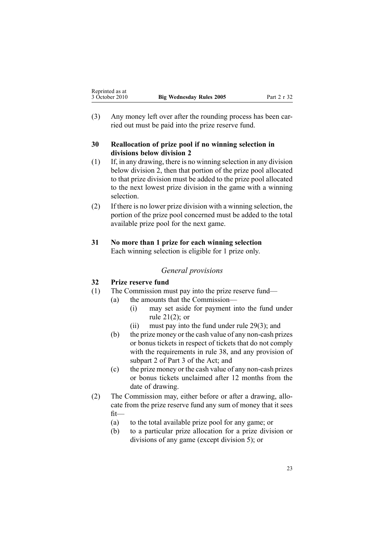<span id="page-22-0"></span>(3) Any money left over after the rounding process has been carried out must be paid into the prize reserve fund.

## **30 Reallocation of prize pool if no winning selection in divisions below division 2**

- (1) If, in any drawing, there is no winning selection in any division below division 2, then that portion of the prize pool allocated to that prize division must be added to the prize pool allocated to the next lowest prize division in the game with <sup>a</sup> winning selection.
- (2) If there is no lower prize division with <sup>a</sup> winning selection, the portion of the prize pool concerned must be added to the total available prize pool for the next game.

## **31 No more than 1 prize for each winning selection** Each winning selection is eligible for 1 prize only.

## *General provisions*

## **32 Prize reserve fund**

- (1) The Commission must pay into the prize reserve fund—
	- (a) the amounts that the Commission—
		- (i) may set aside for paymen<sup>t</sup> into the fund under rule [21\(2\)](#page-17-0); or
		- (ii) must pay into the fund under rule [29\(3\)](#page-21-0); and
		- (b) the prize money or the cash value of any non-cash prizes or bonus tickets in respec<sup>t</sup> of tickets that do not comply with the requirements in [rule](#page-25-0) 38, and any provision of [subpart](http://www.legislation.govt.nz/pdflink.aspx?id=DLM209728) 2 of Part 3 of the Act; and
		- (c) the prize money or the cash value of any non-cash prizes or bonus tickets unclaimed after 12 months from the date of drawing.
- (2) The Commission may, either before or after <sup>a</sup> drawing, allocate from the prize reserve fund any sum of money that it sees fit—
	- (a) to the total available prize pool for any game; or
	- (b) to <sup>a</sup> particular prize allocation for <sup>a</sup> prize division or divisions of any game (except division 5); or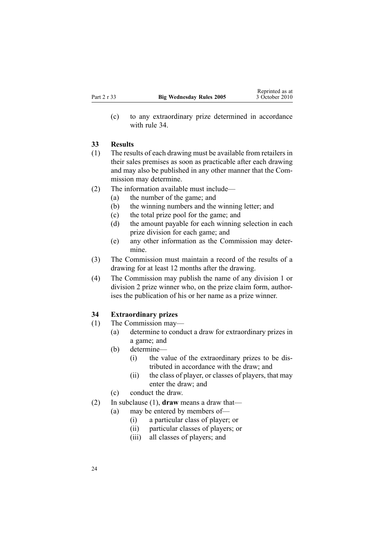<span id="page-23-0"></span>(c) to any extraordinary prize determined in accordance with rule 34

#### **33 Results**

- (1) The results of each drawing must be available from retailers in their sales premises as soon as practicable after each drawing and may also be published in any other manner that the Commission may determine.
- (2) The information available must include—
	- (a) the number of the game; and
	- (b) the winning numbers and the winning letter; and
	- (c) the total prize pool for the game; and
	- (d) the amount payable for each winning selection in each prize division for each game; and
	- (e) any other information as the Commission may determine.
- (3) The Commission must maintain <sup>a</sup> record of the results of <sup>a</sup> drawing for at least 12 months after the drawing.
- (4) The Commission may publish the name of any division 1 or division 2 prize winner who, on the prize claim form, authorises the publication of his or her name as <sup>a</sup> prize winner.

## **34 Extraordinary prizes**

- (1) The Commission may—
	- (a) determine to conduct <sup>a</sup> draw for extraordinary prizes in <sup>a</sup> game; and
	- (b) determine—
		- (i) the value of the extraordinary prizes to be distributed in accordance with the draw; and
		- (ii) the class of player, or classes of players, that may enter the draw; and
	- (c) conduct the draw.
- (2) In subclause (1), **draw** means <sup>a</sup> draw that—
	- (a) may be entered by members of—
		- (i) <sup>a</sup> particular class of player; or
		- (ii) particular classes of players; or
		- (iii) all classes of players; and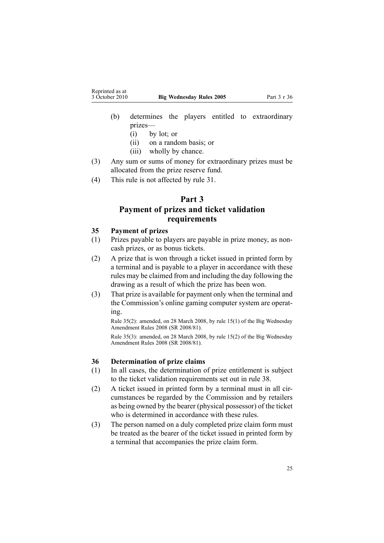- <span id="page-24-0"></span>(b) determines the players entitled to extraordinary prizes—
	- (i) by lot; or
	- (ii) on <sup>a</sup> random basis; or
	- (iii) wholly by chance.
- (3) Any sum or sums of money for extraordinary prizes must be allocated from the prize reserve fund.
- (4) This rule is not affected by [rule](#page-22-0) 31.

## **Part 3**

## **Payment of prizes and ticket validation requirements**

## **35 Payment of prizes**

- (1) Prizes payable to players are payable in prize money, as noncash prizes, or as bonus tickets.
- (2) A prize that is won through <sup>a</sup> ticket issued in printed form by <sup>a</sup> terminal and is payable to <sup>a</sup> player in accordance with these rules may be claimed from and including the day following the drawing as <sup>a</sup> result of which the prize has been won.
- (3) That prize is available for paymen<sup>t</sup> only when the terminal and the Commission's online gaming computer system are operating.

Rule 35(2): amended, on 28 March 2008, by rule [15\(1\)](http://www.legislation.govt.nz/pdflink.aspx?id=DLM1221032) of the Big Wednesday Amendment Rules 2008 (SR 2008/81).

Rule 35(3): amended, on 28 March 2008, by rule [15\(2\)](http://www.legislation.govt.nz/pdflink.aspx?id=DLM1221032) of the Big Wednesday Amendment Rules 2008 (SR 2008/81).

## **36 Determination of prize claims**

- (1) In all cases, the determination of prize entitlement is subject to the ticket validation requirements set out in [rule](#page-25-0) 38.
- (2) A ticket issued in printed form by <sup>a</sup> terminal must in all circumstances be regarded by the Commission and by retailers as being owned by the bearer (physical possessor) of the ticket who is determined in accordance with these rules.
- (3) The person named on <sup>a</sup> duly completed prize claim form must be treated as the bearer of the ticket issued in printed form by <sup>a</sup> terminal that accompanies the prize claim form.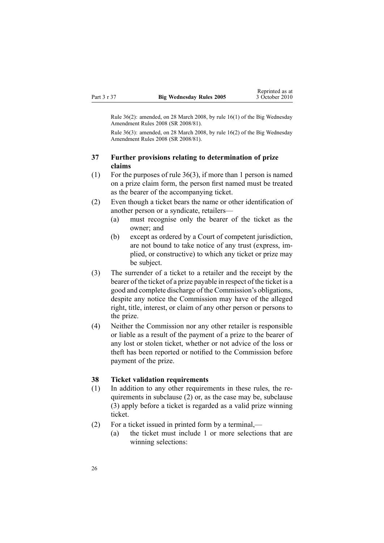<span id="page-25-0"></span>Rule 36(2): amended, on 28 March 2008, by rule [16\(1\)](http://www.legislation.govt.nz/pdflink.aspx?id=DLM1221033) of the Big Wednesday Amendment Rules 2008 (SR 2008/81).

Rule 36(3): amended, on 28 March 2008, by rule [16\(2\)](http://www.legislation.govt.nz/pdflink.aspx?id=DLM1221033) of the Big Wednesday Amendment Rules 2008 (SR 2008/81).

### **37 Further provisions relating to determination of prize claims**

- (1) For the purposes of rule [36\(3\)](#page-24-0), if more than 1 person is named on <sup>a</sup> prize claim form, the person first named must be treated as the bearer of the accompanying ticket.
- (2) Even though <sup>a</sup> ticket bears the name or other identification of another person or <sup>a</sup> syndicate, retailers—
	- (a) must recognise only the bearer of the ticket as the owner; and
	- (b) excep<sup>t</sup> as ordered by <sup>a</sup> Court of competent jurisdiction, are not bound to take notice of any trust (express, implied, or constructive) to which any ticket or prize may be subject.
- (3) The surrender of <sup>a</sup> ticket to <sup>a</sup> retailer and the receipt by the bearer of the ticket of <sup>a</sup> prize payable in respec<sup>t</sup> of the ticket is <sup>a</sup> good and complete discharge of the Commission's obligations, despite any notice the Commission may have of the alleged right, title, interest, or claim of any other person or persons to the prize.
- (4) Neither the Commission nor any other retailer is responsible or liable as <sup>a</sup> result of the paymen<sup>t</sup> of <sup>a</sup> prize to the bearer of any lost or stolen ticket, whether or not advice of the loss or theft has been reported or notified to the Commission before paymen<sup>t</sup> of the prize.

#### **38 Ticket validation requirements**

- (1) In addition to any other requirements in these rules, the requirements in subclause (2) or, as the case may be, subclause (3) apply before <sup>a</sup> ticket is regarded as <sup>a</sup> valid prize winning ticket.
- (2) For <sup>a</sup> ticket issued in printed form by <sup>a</sup> terminal,—
	- (a) the ticket must include 1 or more selections that are winning selections: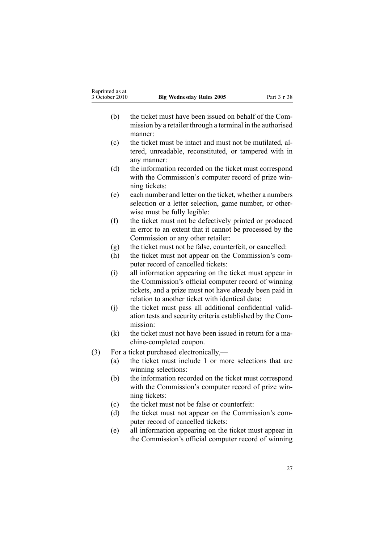- (b) the ticket must have been issued on behalf of the Commission by <sup>a</sup> retailer through <sup>a</sup> terminal in the authorised manner:
- (c) the ticket must be intact and must not be mutilated, altered, unreadable, reconstituted, or tampered with in any manner:
- (d) the information recorded on the ticket must correspond with the Commission's computer record of prize winning tickets:
- (e) each number and letter on the ticket, whether <sup>a</sup> numbers selection or <sup>a</sup> letter selection, game number, or otherwise must be fully legible:
- (f) the ticket must not be defectively printed or produced in error to an extent that it cannot be processed by the Commission or any other retailer:
- (g) the ticket must not be false, counterfeit, or cancelled:
- (h) the ticket must not appear on the Commission's computer record of cancelled tickets:
- (i) all information appearing on the ticket must appear in the Commission's official computer record of winning tickets, and <sup>a</sup> prize must not have already been paid in relation to another ticket with identical data:
- (j) the ticket must pass all additional confidential validation tests and security criteria established by the Commission:
- (k) the ticket must not have been issued in return for <sup>a</sup> machine-completed coupon.
- (3) For <sup>a</sup> ticket purchased electronically,—
	- (a) the ticket must include 1 or more selections that are winning selections:
	- (b) the information recorded on the ticket must correspond with the Commission's computer record of prize winning tickets:
	- (c) the ticket must not be false or counterfeit:
	- (d) the ticket must not appear on the Commission's computer record of cancelled tickets:
	- (e) all information appearing on the ticket must appear in the Commission's official computer record of winning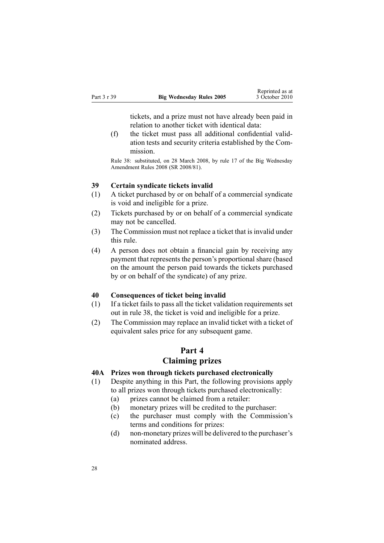tickets, and <sup>a</sup> prize must not have already been paid in relation to another ticket with identical data:

<span id="page-27-0"></span>(f) the ticket must pass all additional confidential validation tests and security criteria established by the Commission.

Rule 38: substituted, on 28 March 2008, by [rule](http://www.legislation.govt.nz/pdflink.aspx?id=DLM1221034) 17 of the Big Wednesday Amendment Rules 2008 (SR 2008/81).

### **39 Certain syndicate tickets invalid**

- (1) A ticket purchased by or on behalf of <sup>a</sup> commercial syndicate is void and ineligible for <sup>a</sup> prize.
- (2) Tickets purchased by or on behalf of <sup>a</sup> commercial syndicate may not be cancelled.
- (3) The Commission must not replace <sup>a</sup> ticket that is invalid under this rule.
- (4) A person does not obtain <sup>a</sup> financial gain by receiving any paymen<sup>t</sup> that represents the person's proportional share (based on the amount the person paid towards the tickets purchased by or on behalf of the syndicate) of any prize.

#### **40 Consequences of ticket being invalid**

- (1) If <sup>a</sup> ticket fails to pass all the ticket validation requirements set out in [rule](#page-25-0) 38, the ticket is void and ineligible for <sup>a</sup> prize.
- (2) The Commission may replace an invalid ticket with <sup>a</sup> ticket of equivalent sales price for any subsequent game.

## **Part 4**

## **Claiming prizes**

### **40A Prizes won through tickets purchased electronically**

- (1) Despite anything in this Part, the following provisions apply to all prizes won through tickets purchased electronically:
	- (a) prizes cannot be claimed from <sup>a</sup> retailer:
	- (b) monetary prizes will be credited to the purchaser:
	- (c) the purchaser must comply with the Commission's terms and conditions for prizes:
	- (d) non-monetary prizes will be delivered to the purchaser's nominated address.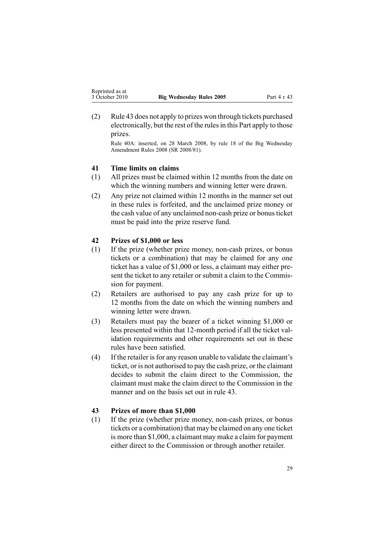<span id="page-28-0"></span>(2) Rule 43 does not apply to prizes won through tickets purchased electronically, but the rest of the rulesin this Part apply to those prizes.

Rule 40A: inserted, on 28 March 2008, by [rule](http://www.legislation.govt.nz/pdflink.aspx?id=DLM1221036) 18 of the Big Wednesday Amendment Rules 2008 (SR 2008/81).

## **41 Time limits on claims**

- (1) All prizes must be claimed within 12 months from the date on which the winning numbers and winning letter were drawn.
- (2) Any prize not claimed within 12 months in the manner set out in these rules is forfeited, and the unclaimed prize money or the cash value of any unclaimed non-cash prize or bonusticket must be paid into the prize reserve fund.

#### **42 Prizes of \$1,000 or less**

- (1) If the prize (whether prize money, non-cash prizes, or bonus tickets or <sup>a</sup> combination) that may be claimed for any one ticket has <sup>a</sup> value of \$1,000 or less, <sup>a</sup> claimant may either present the ticket to any retailer or submit <sup>a</sup> claim to the Commission for payment.
- (2) Retailers are authorised to pay any cash prize for up to 12 months from the date on which the winning numbers and winning letter were drawn.
- (3) Retailers must pay the bearer of <sup>a</sup> ticket winning \$1,000 or less presented within that 12-month period if all the ticket validation requirements and other requirements set out in these rules have been satisfied.
- $(4)$  If the retailer is for any reason unable to validate the claimant's ticket, or is not authorised to pay the cash prize, or the claimant decides to submit the claim direct to the Commission, the claimant must make the claim direct to the Commission in the manner and on the basis set out in rule 43.

#### **43 Prizes of more than \$1,000**

(1) If the prize (whether prize money, non-cash prizes, or bonus tickets or <sup>a</sup> combination) that may be claimed on any one ticket is more than \$1,000, <sup>a</sup> claimant may make <sup>a</sup> claim for paymen<sup>t</sup> either direct to the Commission or through another retailer.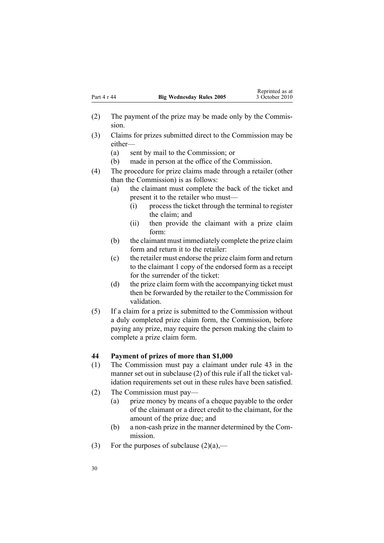- <span id="page-29-0"></span>(2) The paymen<sup>t</sup> of the prize may be made only by the Commission.
- (3) Claims for prizes submitted direct to the Commission may be either—
	- (a) sent by mail to the Commission; or
	- (b) made in person at the office of the Commission.
- (4) The procedure for prize claims made through <sup>a</sup> retailer (other than the Commission) is as follows:
	- (a) the claimant must complete the back of the ticket and presen<sup>t</sup> it to the retailer who must—
		- (i) process the ticket through the terminal to register the claim; and
		- (ii) then provide the claimant with <sup>a</sup> prize claim form:
	- (b) the claimant must immediately complete the prize claim form and return it to the retailer:
	- (c) the retailer must endorse the prize claim form and return to the claimant 1 copy of the endorsed form as <sup>a</sup> receipt for the surrender of the ticket:
	- (d) the prize claim form with the accompanying ticket must then be forwarded by the retailer to the Commission for validation.
- (5) If <sup>a</sup> claim for <sup>a</sup> prize is submitted to the Commission without <sup>a</sup> duly completed prize claim form, the Commission, before paying any prize, may require the person making the claim to complete <sup>a</sup> prize claim form.

#### **44 Payment of prizes of more than \$1,000**

- (1) The Commission must pay <sup>a</sup> claimant under [rule](#page-28-0) 43 in the manner set out in subclause (2) of this rule if all the ticket validation requirements set out in these rules have been satisfied.
- (2) The Commission must pay—
	- (a) prize money by means of <sup>a</sup> cheque payable to the order of the claimant or <sup>a</sup> direct credit to the claimant, for the amount of the prize due; and
	- (b) <sup>a</sup> non-cash prize in the manner determined by the Commission.
- (3) For the purposes of subclause  $(2)(a)$ ,—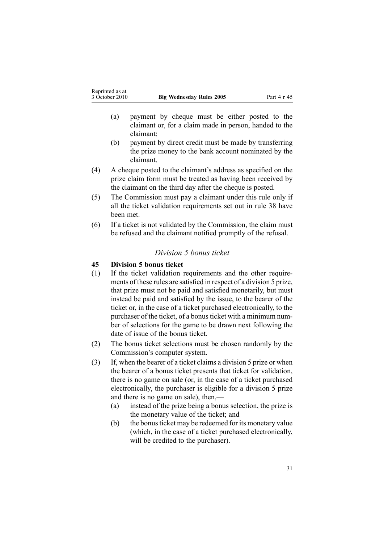- <span id="page-30-0"></span>(a) paymen<sup>t</sup> by cheque must be either posted to the claimant or, for <sup>a</sup> claim made in person, handed to the claimant:
- (b) paymen<sup>t</sup> by direct credit must be made by transferring the prize money to the bank account nominated by the claimant.
- (4) A cheque posted to the claimant's address as specified on the prize claim form must be treated as having been received by the claimant on the third day after the cheque is posted.
- (5) The Commission must pay <sup>a</sup> claimant under this rule only if all the ticket validation requirements set out in [rule](#page-25-0) 38 have been met.
- (6) If <sup>a</sup> ticket is not validated by the Commission, the claim must be refused and the claimant notified promptly of the refusal.

## *Division 5 bonus ticket*

## **45 Division 5 bonus ticket**

- (1) If the ticket validation requirements and the other requirements of these rules are satisfied in respec<sup>t</sup> of <sup>a</sup> division 5 prize, that prize must not be paid and satisfied monetarily, but must instead be paid and satisfied by the issue, to the bearer of the ticket or, in the case of <sup>a</sup> ticket purchased electronically, to the purchaser of the ticket, of a bonus ticket with a minimum number of selections for the game to be drawn next following the date of issue of the bonus ticket.
- (2) The bonus ticket selections must be chosen randomly by the Commission's computer system.
- (3) If, when the bearer of <sup>a</sup> ticket claims <sup>a</sup> division 5 prize or when the bearer of <sup>a</sup> bonus ticket presents that ticket for validation, there is no game on sale (or, in the case of <sup>a</sup> ticket purchased electronically, the purchaser is eligible for <sup>a</sup> division 5 prize and there is no game on sale), then,—
	- (a) instead of the prize being <sup>a</sup> bonus selection, the prize is the monetary value of the ticket; and
	- (b) the bonusticket may be redeemed for its monetary value (which, in the case of <sup>a</sup> ticket purchased electronically, will be credited to the purchaser).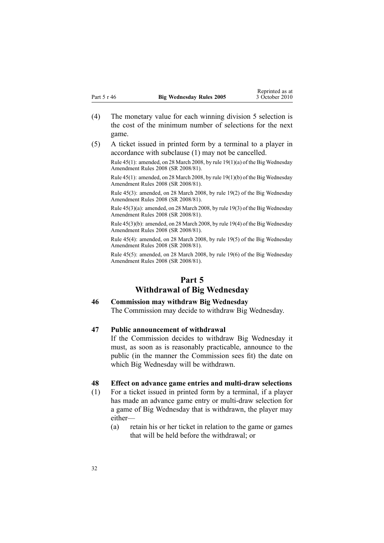- <span id="page-31-0"></span>(4) The monetary value for each winning division 5 selection is the cost of the minimum number of selections for the next game.
- (5) A ticket issued in printed form by <sup>a</sup> terminal to <sup>a</sup> player in accordance with subclause (1) may not be cancelled.

Rule 45(1): amended, on 28 March 2008, by rule [19\(1\)\(a\)](http://www.legislation.govt.nz/pdflink.aspx?id=DLM1221038) of the Big Wednesday Amendment Rules 2008 (SR 2008/81).

Rule 45(1): amended, on 28 March 2008, by rule [19\(1\)\(b\)](http://www.legislation.govt.nz/pdflink.aspx?id=DLM1221038) of the Big Wednesday Amendment Rules 2008 (SR 2008/81).

Rule 45(3): amended, on 28 March 2008, by rule [19\(2\)](http://www.legislation.govt.nz/pdflink.aspx?id=DLM1221038) of the Big Wednesday Amendment Rules 2008 (SR 2008/81).

Rule 45(3)(a): amended, on 28 March 2008, by rule [19\(3\)](http://www.legislation.govt.nz/pdflink.aspx?id=DLM1221038) of the Big Wednesday Amendment Rules 2008 (SR 2008/81).

Rule 45(3)(b): amended, on 28 March 2008, by rule [19\(4\)](http://www.legislation.govt.nz/pdflink.aspx?id=DLM1221038) of the Big Wednesday Amendment Rules 2008 (SR 2008/81).

Rule 45(4): amended, on 28 March 2008, by rule [19\(5\)](http://www.legislation.govt.nz/pdflink.aspx?id=DLM1221038) of the Big Wednesday Amendment Rules 2008 (SR 2008/81).

Rule 45(5): amended, on 28 March 2008, by rule [19\(6\)](http://www.legislation.govt.nz/pdflink.aspx?id=DLM1221038) of the Big Wednesday Amendment Rules 2008 (SR 2008/81).

## **Part 5 Withdrawal of Big Wednesday**

## **46 Commission may withdraw Big Wednesday**

The Commission may decide to withdraw Big Wednesday.

#### **47 Public announcement of withdrawal**

If the Commission decides to withdraw Big Wednesday it must, as soon as is reasonably practicable, announce to the public (in the manner the Commission sees fit) the date on which Big Wednesday will be withdrawn.

### **48 Effect on advance game entries and multi-draw selections**

- (1) For <sup>a</sup> ticket issued in printed form by <sup>a</sup> terminal, if <sup>a</sup> player has made an advance game entry or multi-draw selection for <sup>a</sup> game of Big Wednesday that is withdrawn, the player may either—
	- (a) retain his or her ticket in relation to the game or games that will be held before the withdrawal; or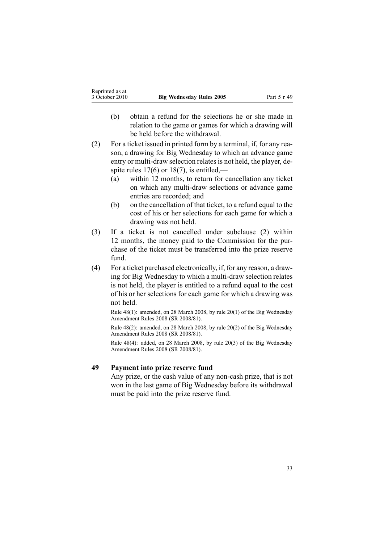- <span id="page-32-0"></span>(b) obtain <sup>a</sup> refund for the selections he or she made in relation to the game or games for which <sup>a</sup> drawing will be held before the withdrawal.
- (2) For <sup>a</sup> ticket issued in printed form by <sup>a</sup> terminal, if, for any reason, <sup>a</sup> drawing for Big Wednesday to which an advance game entry or multi-draw selection relates is not held, the player, despite rules  $17(6)$  or  $18(7)$ , is entitled,—
	- (a) within 12 months, to return for cancellation any ticket on which any multi-draw selections or advance game entries are recorded; and
	- (b) on the cancellation of that ticket, to <sup>a</sup> refund equal to the cost of his or her selections for each game for which <sup>a</sup> drawing was not held.
- (3) If <sup>a</sup> ticket is not cancelled under subclause (2) within 12 months, the money paid to the Commission for the purchase of the ticket must be transferred into the prize reserve fund.
- (4) For <sup>a</sup> ticket purchased electronically, if, for any reason, <sup>a</sup> drawing for Big Wednesday to which <sup>a</sup> multi-draw selection relates is not held, the player is entitled to <sup>a</sup> refund equal to the cost of his or her selections for each game for which <sup>a</sup> drawing was not held.

Rule 48(1): amended, on 28 March 2008, by rule [20\(1\)](http://www.legislation.govt.nz/pdflink.aspx?id=DLM1221039) of the Big Wednesday Amendment Rules 2008 (SR 2008/81).

Rule 48(2): amended, on 28 March 2008, by rule [20\(2\)](http://www.legislation.govt.nz/pdflink.aspx?id=DLM1221039) of the Big Wednesday Amendment Rules 2008 (SR 2008/81).

Rule 48(4): added, on 28 March 2008, by rule [20\(3\)](http://www.legislation.govt.nz/pdflink.aspx?id=DLM1221039) of the Big Wednesday Amendment Rules 2008 (SR 2008/81).

## **49 Payment into prize reserve fund**

Any prize, or the cash value of any non-cash prize, that is not won in the last game of Big Wednesday before its withdrawal must be paid into the prize reserve fund.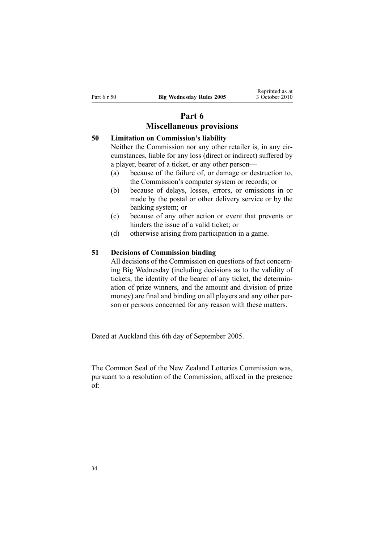# **Part 6**

## **Miscellaneous provisions**

## <span id="page-33-0"></span>**50 Limitation on Commission's liability**

Neither the Commission nor any other retailer is, in any circumstances, liable for any loss (direct or indirect) suffered by <sup>a</sup> player, bearer of <sup>a</sup> ticket, or any other person—

- (a) because of the failure of, or damage or destruction to, the Commission's computer system or records; or
- (b) because of delays, losses, errors, or omissions in or made by the postal or other delivery service or by the banking system; or
- (c) because of any other action or event that prevents or hinders the issue of <sup>a</sup> valid ticket; or
- (d) otherwise arising from participation in <sup>a</sup> game.

### **51 Decisions of Commission binding**

All decisions of the Commission on questions of fact concerning Big Wednesday (including decisions as to the validity of tickets, the identity of the bearer of any ticket, the determination of prize winners, and the amount and division of prize money) are final and binding on all players and any other person or persons concerned for any reason with these matters.

Dated at Auckland this 6th day of September 2005.

The Common Seal of the New Zealand Lotteries Commission was, pursuan<sup>t</sup> to <sup>a</sup> resolution of the Commission, affixed in the presence of: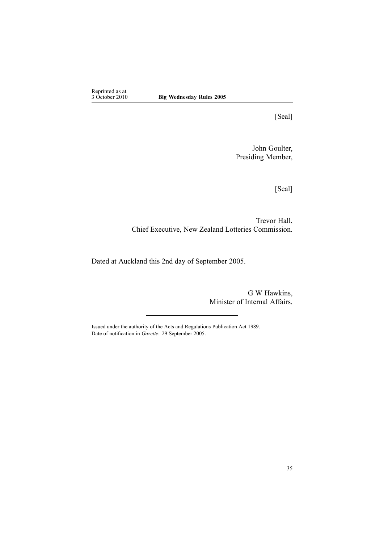Reprinted as at<br>3 October 2010

[Seal]

John Goulter, Presiding Member,

[Seal]

Trevor Hall, Chief Executive, New Zealand Lotteries Commission.

Dated at Auckland this 2nd day of September 2005.

G W Hawkins, Minister of Internal Affairs.

Issued under the authority of the Acts and [Regulations](http://www.legislation.govt.nz/pdflink.aspx?id=DLM195097) Publication Act 1989. Date of notification in *Gazette*: 29 September 2005.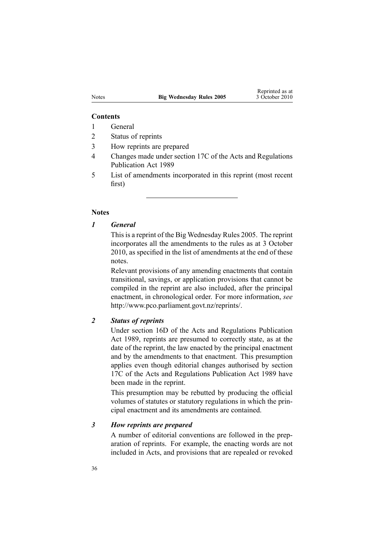#### **Contents**

- 1 General
- 2 Status of reprints
- 3 How reprints are prepared
- 4 Changes made under section 17C of the Acts and Regulations Publication Act 1989
- 5 List of amendments incorporated in this reprint (most recent first)

#### **Notes**

*1 General*

This is a reprint of the Big Wednesday Rules 2005. The reprint incorporates all the amendments to the rules as at 3 October 2010, as specified in the list of amendments at the end of these notes.

Relevant provisions of any amending enactments that contain transitional, savings, or application provisions that cannot be compiled in the reprint are also included, after the principal enactment, in chronological order. For more information, *see* <http://www.pco.parliament.govt.nz/reprints/>.

## *2 Status of reprints*

Under [section](http://www.legislation.govt.nz/pdflink.aspx?id=DLM195439) 16D of the Acts and Regulations Publication Act 1989, reprints are presumed to correctly state, as at the date of the reprint, the law enacted by the principal enactment and by the amendments to that enactment. This presumption applies even though editorial changes authorised by [section](http://www.legislation.govt.nz/pdflink.aspx?id=DLM195466) [17C](http://www.legislation.govt.nz/pdflink.aspx?id=DLM195466) of the Acts and Regulations Publication Act 1989 have been made in the reprint.

This presumption may be rebutted by producing the official volumes of statutes or statutory regulations in which the principal enactment and its amendments are contained.

#### *3 How reprints are prepared*

A number of editorial conventions are followed in the preparation of reprints. For example, the enacting words are not included in Acts, and provisions that are repealed or revoked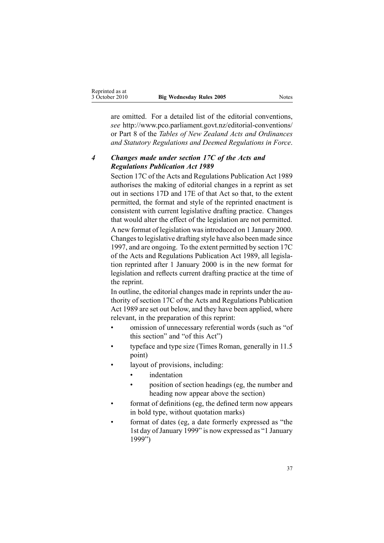| Reprinted as at |                                 |       |
|-----------------|---------------------------------|-------|
| 3 October 2010  | <b>Big Wednesday Rules 2005</b> | Notes |

are omitted. For <sup>a</sup> detailed list of the editorial conventions, *see* [http://www.pco.parliament.govt.nz/editorial-conventions/](http://www.pco.parliament.govt.nz/editorial-conventions/ ) or Part 8 of the *Tables of New Zealand Acts and Ordinances and Statutory Regulations and Deemed Regulations in Force*.

## *4 Changes made under section 17C of the Acts and Regulations Publication Act 1989*

[Section](http://www.legislation.govt.nz/pdflink.aspx?id=DLM195466) 17C of the Acts and Regulations Publication Act 1989 authorises the making of editorial changes in <sup>a</sup> reprint as set out in [sections](http://www.legislation.govt.nz/pdflink.aspx?id=DLM195468) 17D and [17E](http://www.legislation.govt.nz/pdflink.aspx?id=DLM195470) of that Act so that, to the extent permitted, the format and style of the reprinted enactment is consistent with current legislative drafting practice. Changes that would alter the effect of the legislation are not permitted.

A new format of legislation wasintroduced on 1 January 2000. Changesto legislative drafting style have also been made since 1997, and are ongoing. To the extent permitted by [section](http://www.legislation.govt.nz/pdflink.aspx?id=DLM195466) 17C of the Acts and Regulations Publication Act 1989, all legislation reprinted after 1 January 2000 is in the new format for legislation and reflects current drafting practice at the time of the reprint.

In outline, the editorial changes made in reprints under the authority of [section](http://www.legislation.govt.nz/pdflink.aspx?id=DLM195466) 17C of the Acts and Regulations Publication Act 1989 are set out below, and they have been applied, where relevant, in the preparation of this reprint:

- • omission of unnecessary referential words (such as "of this section" and "of this Act")
- • typeface and type size (Times Roman, generally in 11.5 point)
- • layout of provisions, including:
	- •indentation
	- • position of section headings (eg, the number and heading now appear above the section)
- • format of definitions (eg, the defined term now appears in bold type, without quotation marks)
- • format of dates (eg, <sup>a</sup> date formerly expressed as "the 1st day ofJanuary 1999" is now expressed as "1 January 1999")